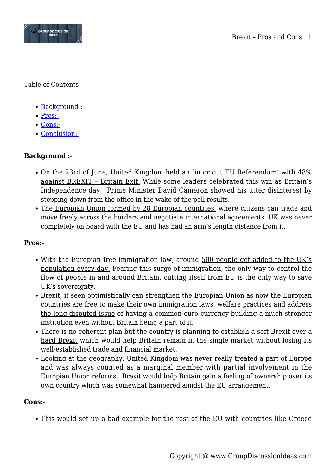

Table of Contents

- [Background :-](#page--1-0)
- [Pros:-](#page--1-0)
- [Cons:-](#page--1-0)
- [Conclusion:-](#page--1-0)

## **Background :-**

- On the 23rd of June, United Kingdom held an 'in or out EU Referendum' with 48% against BREXIT – Britain Exit. While some leaders celebrated this win as Britain's Independence day, Prime Minister David Cameron showed his utter disinterest by stepping down from the office in the wake of the poll results.
- The Europian Union formed by 28 Europian countries, where citizens can trade and move freely across the borders and negotiate international agreements. UK was never completely on board with the EU and has had an arm's length distance from it.

## **Pros:-**

- With the Europian free immigration law, around 500 people get added to the UK's population every day. Fearing this surge of immigration, the only way to control the flow of people in and around Britain, cutting itself from EU is the only way to save UK's sovereignty.
- Brexit, if seen optimistically can strengthen the Europian Union as now the Europian countries are free to make their own immigration laws, welfare practices and address the long-disputed issue of having a common euro currency building a much stronger institution even without Britain being a part of it.
- There is no coherent plan but the country is planning to establish a soft Brexit over a hard Brexit which would help Britain remain in the single market without losing its well-established trade and financial market.
- Looking at the geography, United Kingdom was never really treated a part of Europe and was always counted as a marginal member with partial involvement in the Europian Union reforms. Brexit would help Britain gain a feeling of ownership over its own country which was somewhat hampered amidst the EU arrangement.

## **Cons:-**

This would set up a bad example for the rest of the EU with countries like Greece